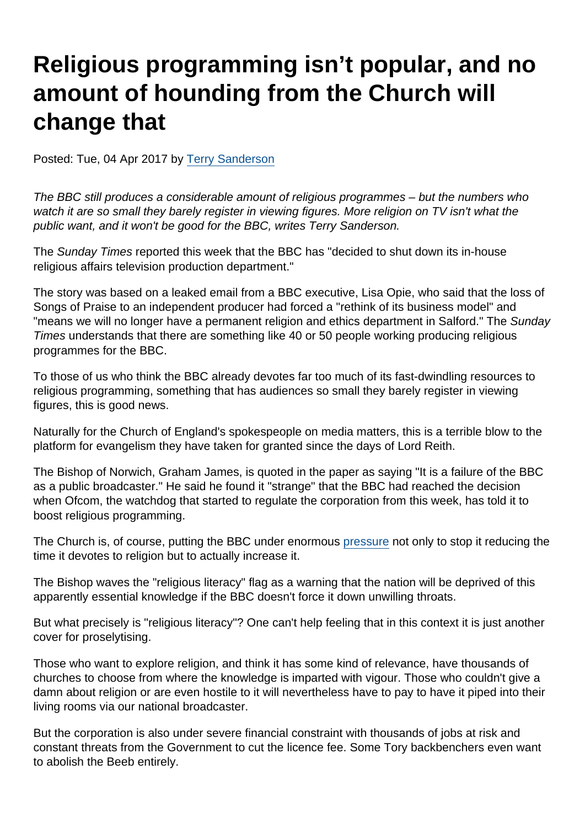## Religious programming isn't popular, and no amount of hounding from the Church will change that

Posted: Tue, 04 Apr 2017 by [Terry Sanderson](https://www.secularism.org.uk/opinion/authors/850)

The BBC still produces a considerable amount of religious programmes – but the numbers who watch it are so small they barely register in viewing figures. More religion on TV isn't what the public want, and it won't be good for the BBC, writes Terry Sanderson.

The Sunday Times reported this week that the BBC has "decided to shut down its in-house religious affairs television production department."

The story was based on a leaked email from a BBC executive, Lisa Opie, who said that the loss of Songs of Praise to an independent producer had forced a "rethink of its business model" and "means we will no longer have a permanent religion and ethics department in Salford." The Sunday Times understands that there are something like 40 or 50 people working producing religious programmes for the BBC.

To those of us who think the BBC already devotes far too much of its fast-dwindling resources to religious programming, something that has audiences so small they barely register in viewing figures, this is good news.

Naturally for the Church of England's spokespeople on media matters, this is a terrible blow to the platform for evangelism they have taken for granted since the days of Lord Reith.

The Bishop of Norwich, Graham James, is quoted in the paper as saying "It is a failure of the BBC as a public broadcaster." He said he found it "strange" that the BBC had reached the decision when Ofcom, the watchdog that started to regulate the corporation from this week, has told it to boost religious programming.

The Church is, of course, putting the BBC under enormous [pressure](http://www.telegraph.co.uk/news/2017/03/10/bbc-loses-songs-praise-independent-production-company/) not only to stop it reducing the time it devotes to religion but to actually increase it.

The Bishop waves the "religious literacy" flag as a warning that the nation will be deprived of this apparently essential knowledge if the BBC doesn't force it down unwilling throats.

But what precisely is "religious literacy"? One can't help feeling that in this context it is just another cover for proselytising.

Those who want to explore religion, and think it has some kind of relevance, have thousands of churches to choose from where the knowledge is imparted with vigour. Those who couldn't give a damn about religion or are even hostile to it will nevertheless have to pay to have it piped into their living rooms via our national broadcaster.

But the corporation is also under severe financial constraint with thousands of jobs at risk and constant threats from the Government to cut the licence fee. Some Tory backbenchers even want to abolish the Beeb entirely.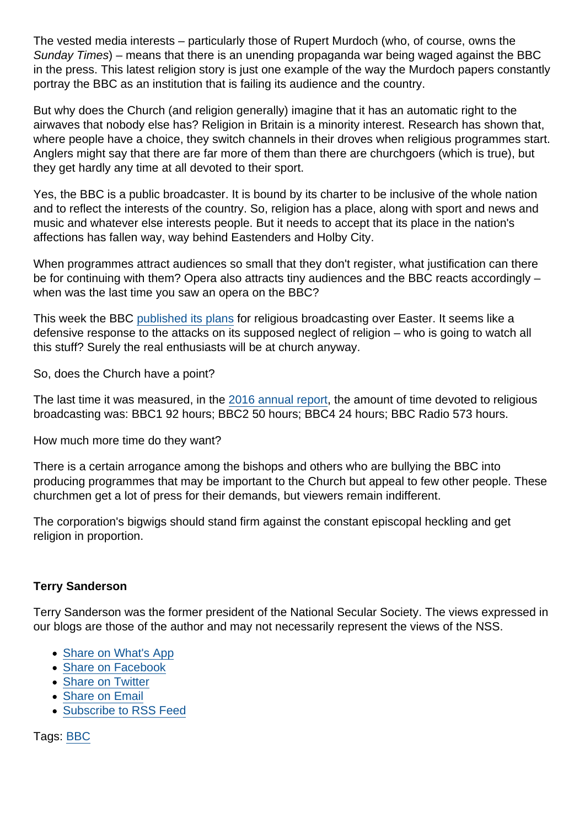The vested media interests – particularly those of Rupert Murdoch (who, of course, owns the Sunday Times) – means that there is an unending propaganda war being waged against the BBC in the press. This latest religion story is just one example of the way the Murdoch papers constantly portray the BBC as an institution that is failing its audience and the country.

But why does the Church (and religion generally) imagine that it has an automatic right to the airwaves that nobody else has? Religion in Britain is a minority interest. Research has shown that, where people have a choice, they switch channels in their droves when religious programmes start. Anglers might say that there are far more of them than there are churchgoers (which is true), but they get hardly any time at all devoted to their sport.

Yes, the BBC is a public broadcaster. It is bound by its charter to be inclusive of the whole nation and to reflect the interests of the country. So, religion has a place, along with sport and news and music and whatever else interests people. But it needs to accept that its place in the nation's affections has fallen way, way behind Eastenders and Holby City.

When programmes attract audiences so small that they don't register, what justification can there be for continuing with them? Opera also attracts tiny audiences and the BBC reacts accordingly – when was the last time you saw an opera on the BBC?

This week the BBC [published its plans](http://www.bbc.co.uk/mediacentre/latestnews/2017/easter-religious-programming-across-bbc) for religious broadcasting over Easter. It seems like a defensive response to the attacks on its supposed neglect of religion – who is going to watch all this stuff? Surely the real enthusiasts will be at church anyway.

So, does the Church have a point?

The last time it was measured, in the [2016 annual report](http://downloads.bbc.co.uk/aboutthebbc/insidethebbc/reports/pdf/bbc-annualreport-201516.pdf#page=79), the amount of time devoted to religious broadcasting was: BBC1 92 hours; BBC2 50 hours; BBC4 24 hours; BBC Radio 573 hours.

How much more time do they want?

There is a certain arrogance among the bishops and others who are bullying the BBC into producing programmes that may be important to the Church but appeal to few other people. These churchmen get a lot of press for their demands, but viewers remain indifferent.

The corporation's bigwigs should stand firm against the constant episcopal heckling and get religion in proportion.

## Terry Sanderson

Terry Sanderson was the former president of the National Secular Society. The views expressed in our blogs are those of the author and may not necessarily represent the views of the NSS.

- [Share on What's App](whatsapp://send?text=http://www.secularism.org.uk/opinion/2017/04/religious-programming-isnt-popular-and-no-amount-of-hounding-from-the-church-will-change-that?format=pdf)
- [Share on Facebook](https://www.facebook.com/sharer/sharer.php?u=http://www.secularism.org.uk/opinion/2017/04/religious-programming-isnt-popular-and-no-amount-of-hounding-from-the-church-will-change-that?format=pdf&t=Religious+programming+isn’t+popular,+and+no+amount+of+hounding+from+the+Church+will+change+that)
- [Share on Twitter](https://twitter.com/intent/tweet?url=http://www.secularism.org.uk/opinion/2017/04/religious-programming-isnt-popular-and-no-amount-of-hounding-from-the-church-will-change-that?format=pdf&text=Religious+programming+isn’t+popular,+and+no+amount+of+hounding+from+the+Church+will+change+that&via=NatSecSoc)
- [Share on Email](https://www.secularism.org.uk/share.html?url=http://www.secularism.org.uk/opinion/2017/04/religious-programming-isnt-popular-and-no-amount-of-hounding-from-the-church-will-change-that?format=pdf&title=Religious+programming+isn’t+popular,+and+no+amount+of+hounding+from+the+Church+will+change+that)
- [Subscribe to RSS Feed](/mnt/web-data/www/cp-nss/feeds/rss/news)

Tags: [BBC](https://www.secularism.org.uk/opinion/tags/BBC)